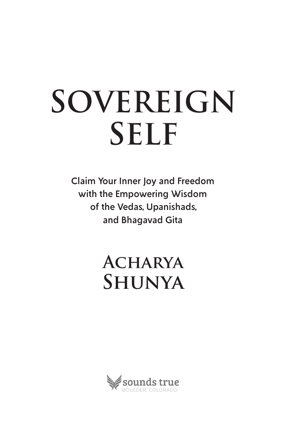# **SOVEREIGN SELF**

Claim Your Inner Joy and Freedom with the Empowering Wisdom of the Vedas, Upanishads, and Bhagavad Gita

> **Acharya Shunya**

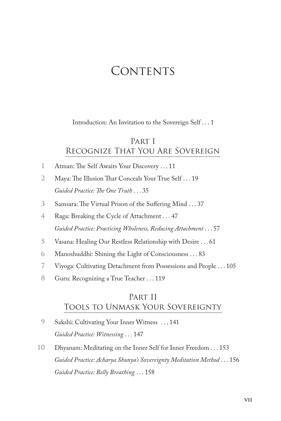## CONTENTS

Introduction: An Invitation to the Sovereign Self . . . 1

## Part I Recognize That You Are Sovereign

- 1 Atman: The Self Awaits Your Discovery . . . 11
- 2 Maya: The Illusion That Conceals Your True Self . . . 19 *Guided Practice: Te One Truth* . . . 35
- 3 Samsara: The Virtual Prison of the Suffering Mind . . . 37
- **4** Raga: Breaking the Cycle of Attachment . . . 47 *Guided Practice: Practicing Wholeness, Reducing Attachment* . . . 57
- **5** Vasana: Healing Our Restless Relationship with Desire . . . 61
- **6** Manoshuddhi: Shining the Light of Consciousness . . . 83
- **7** Viyoga: Cultivating Detachment from Possessions and People . . . 105
- **8** Guru: Recognizing a True Teacher . . . 119

## Part II Tools to Unmask Your Sovereignty

- **9** Sakshi: Cultivating Your Inner Witness . . . 141 *Guided Practice: Witnessing* . . . 147
- **10** Dhyanam: Meditating on the Inner Self for Inner Freedom . . . 153 *Guided Practice: Acharya Shunya's Sovereignty Meditation Method* . . . 156 *Guided Practice: Belly Breathing* . . . 158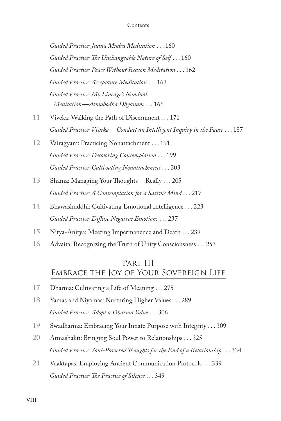#### **Contents**

*Guided Practice: Jnana Mudra Meditation* . . . 160 *Guided Practice: Te Unchangeable Nature of Self* . . . 160 *Guided Practice: Peace Without Reason Meditation* . . . 162 *Guided Practice: Acceptance Meditation* . . . 163 *Guided Practice: My Lineage's Nondual Meditation — Atmabodha Dhyanam* . . . 166

- **11** Viveka: Walking the Path of Discernment . . . 171 *Guided Practice: Viveka — Conduct an Intelligent Inquiry in the Pause* . . . 187
- **12** Vairagyam: Practicing Nonattachment . . . 191 *Guided Practice: Decoloring Contemplation* . . . 199 *Guided Practice: Cultivating Nonattachment* . . . 203
- 13 Shama: Managing Your Thoughts-Really . . . 205 *Guided Practice: A Contemplation for a Sattvic Mind* . . . 217
- **14** Bhawashuddhi: Cultivating Emotional Intelligence . . . 223 *Guided Practice: Difuse Negative Emotions* . . . 237
- **15** Nitya-Anitya: Meeting Impermanence and Death . . . 239
- **16** Advaita: Recognizing the Truth of Unity Consciousness . . . 253

## Part III Embrace the Joy of Your Sovereign Life

- **17** Dharma: Cultivating a Life of Meaning . . . 275
- **18** Yamas and Niyamas: Nurturing Higher Values . . . 289 *Guided Practice: Adopt a Dharma Value* . . . 306
- **19** Swadharma: Embracing Your Innate Purpose with Integrity . . . 309
- **20** Atmashakti: Bringing Soul Power to Relationships . . . 325 *Guided Practice: Soul-Powered Toughts for the End of a Relationship* . . . 334
- **21** Vaaktapas: Employing Ancient Communication Protocols . . . 339 *Guided Practice: Te Practice of Silence* . . . 349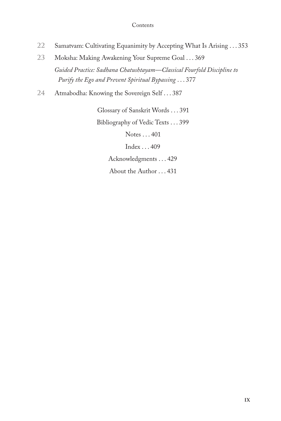#### **Contents**

- **22** Samatvam: Cultivating Equanimity by Accepting What Is Arising . . . 353
- **23** Moksha: Making Awakening Your Supreme Goal . . . 369 *Guided Practice: Sadhana Chatushtayam—Classical Fourfold Discipline to Purify the Ego and Prevent Spiritual Bypassing* . . . 377
- **24** Atmabodha: Knowing the Sovereign Self . . . 387

Glossary of Sanskrit Words . . . 391 Bibliography of Vedic Texts . . . 399 Notes . . . 401 Index . . . 409 Acknowledgments . . . 429 About the Author . . . 431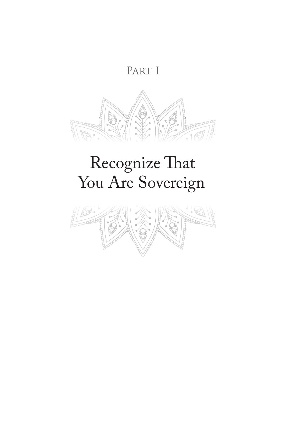## PART I



## Recognize That You Are Sovereign

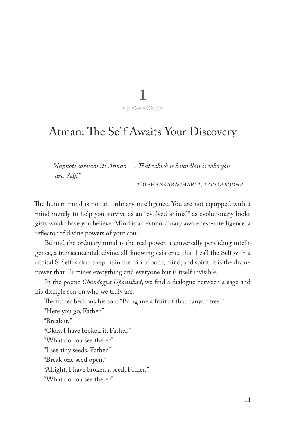10

## Atman: The Self Awaits Your Discovery

*"Aapnoti sarvam iti Atman . . . Tat which is boundless is who you are, Self."*

ADI SHANKARACHARYA, *TATTVA BODHA*

The human mind is not an ordinary intelligence. You are not equipped with a mind merely to help you survive as an "evolved animal" as evolutionary biologists would have you believe. Mind is an extraordinary awareness-intelligence, a refector of divine powers of your soul.

Behind the ordinary mind is the real power, a universally pervading intelligence, a transcendental, divine, all-knowing existence that I call the Self with a capital S. Self is akin to spirit in the trio of body, mind, and spirit; it is the divine power that illumines everything and everyone but is itself invisible.

In the poetic *Chandogya Upanishad*, we fnd a dialogue between a sage and his disciple son on who we truly are.<sup>1</sup>

The father beckons his son: "Bring me a fruit of that banyan tree."

"Here you go, Father."

"Break it."

"Okay, I have broken it, Father."

"What do you see there?"

"I see tiny seeds, Father."

"Break one seed open."

"Alright, I have broken a seed, Father."

"What do you see there?"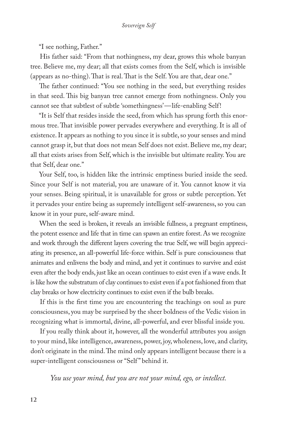"I see nothing, Father."

His father said: "From that nothingness, my dear, grows this whole banyan tree. Believe me, my dear; all that exists comes from the Self, which is invisible (appears as no-thing). That is real. That is the Self. You are that, dear one."

The father continued: "You see nothing in the seed, but everything resides in that seed. This big banyan tree cannot emerge from nothingness. Only you cannot see that subtlest of subtle 'somethingness' — life-enabling Self!

"It is Self that resides inside the seed, from which has sprung forth this enormous tree. That invisible power pervades everywhere and everything. It is all of existence. It appears as nothing to you since it is subtle, so your senses and mind cannot grasp it, but that does not mean Self does not exist. Believe me, my dear; all that exists arises from Self, which is the invisible but ultimate reality. You are that Self, dear one."

Your Self, too, is hidden like the intrinsic emptiness buried inside the seed. Since your Self is not material, you are unaware of it. You cannot know it via your senses. Being spiritual, it is unavailable for gross or subtle perception. Yet it pervades your entire being as supremely intelligent self-awareness, so you can know it in your pure, self-aware mind.

When the seed is broken, it reveals an invisible fullness, a pregnant emptiness, the potent essence and life that in time can spawn an entire forest. As we recognize and work through the diferent layers covering the true Self, we will begin appreciating its presence, an all-powerful life-force within. Self is pure consciousness that animates and enlivens the body and mind, and yet it continues to survive and exist even after the body ends, just like an ocean continues to exist even if a wave ends. It is like how the substratum of clay continues to exist even if a pot fashioned from that clay breaks or how electricity continues to exist even if the bulb breaks.

If this is the frst time you are encountering the teachings on soul as pure consciousness, you may be surprised by the sheer boldness of the Vedic vision in recognizing what is immortal, divine, all-powerful, and ever blissful inside you.

If you really think about it, however, all the wonderful attributes you assign to your mind, like intelligence, awareness, power, joy, wholeness, love, and clarity, don't originate in the mind. The mind only appears intelligent because there is a super-intelligent consciousness or "Self " behind it.

*You use your mind, but you are not your mind, ego, or intellect.*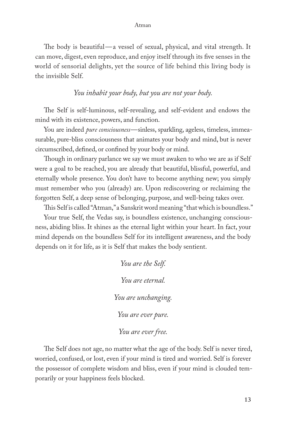#### Atman

The body is beautiful—a vessel of sexual, physical, and vital strength. It can move, digest, even reproduce, and enjoy itself through its fve senses in the world of sensorial delights, yet the source of life behind this living body is the invisible Self.

### *You inhabit your body, but you are not your body.*

The Self is self-luminous, self-revealing, and self-evident and endows the mind with its existence, powers, and function.

You are indeed *pure consciousness*—sinless, sparkling, ageless, timeless, immeasurable, pure-bliss consciousness that animates your body and mind, but is never circumscribed, defned, or confned by your body or mind.

Though in ordinary parlance we say we must awaken to who we are as if Self were a goal to be reached, you are already that beautiful, blissful, powerful, and eternally whole presence. You don't have to become anything new; you simply must remember who you (already) are. Upon rediscovering or reclaiming the forgotten Self, a deep sense of belonging, purpose, and well-being takes over.

Tis Self is called "Atman," a Sanskrit word meaning "that which is boundless."

Your true Self, the Vedas say, is boundless existence, unchanging consciousness, abiding bliss. It shines as the eternal light within your heart. In fact, your mind depends on the boundless Self for its intelligent awareness, and the body depends on it for life, as it is Self that makes the body sentient.

> *You are the Self. You are eternal. You are unchanging. You are ever pure. You are ever free.*

The Self does not age, no matter what the age of the body. Self is never tired, worried, confused, or lost, even if your mind is tired and worried. Self is forever the possessor of complete wisdom and bliss, even if your mind is clouded temporarily or your happiness feels blocked.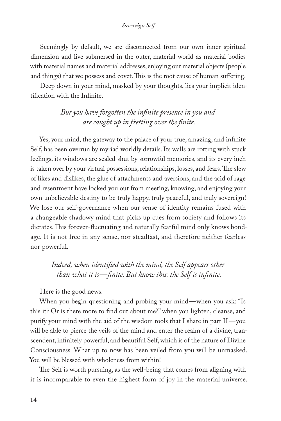Seemingly by default, we are disconnected from our own inner spiritual dimension and live submersed in the outer, material world as material bodies with material names and material addresses, enjoying our material objects (people and things) that we possess and covet. This is the root cause of human suffering.

Deep down in your mind, masked by your thoughts, lies your implicit identifcation with the Infnite.

## *But you have forgotten the infnite presence in you and are caught up in fretting over the fnite.*

Yes, your mind, the gateway to the palace of your true, amazing, and infnite Self, has been overrun by myriad worldly details. Its walls are rotting with stuck feelings, its windows are sealed shut by sorrowful memories, and its every inch is taken over by your virtual possessions, relationships, losses, and fears. The slew of likes and dislikes, the glue of attachments and aversions, and the acid of rage and resentment have locked you out from meeting, knowing, and enjoying your own unbelievable destiny to be truly happy, truly peaceful, and truly sovereign! We lose our self-governance when our sense of identity remains fused with a changeable shadowy mind that picks up cues from society and follows its dictates. This forever-fluctuating and naturally fearful mind only knows bondage. It is not free in any sense, nor steadfast, and therefore neither fearless nor powerful.

*Indeed, when identifed with the mind, the Self appears other than what it is — fnite. But know this: the Self is infnite.* 

Here is the good news.

When you begin questioning and probing your mind—when you ask: "Is this it? Or is there more to fnd out about me?" when you lighten, cleanse, and purify your mind with the aid of the wisdom tools that I share in part II — you will be able to pierce the veils of the mind and enter the realm of a divine, transcendent, infnitely powerful, and beautiful Self, which is of the nature of Divine Consciousness. What up to now has been veiled from you will be unmasked. You will be blessed with wholeness from within!

The Self is worth pursuing, as the well-being that comes from aligning with it is incomparable to even the highest form of joy in the material universe.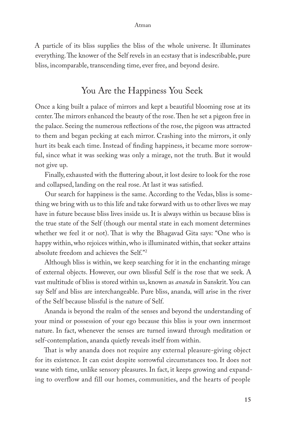A particle of its bliss supplies the bliss of the whole universe. It illuminates everything. The knower of the Self revels in an ecstasy that is indescribable, pure bliss, incomparable, transcending time, ever free, and beyond desire.

## You Are the Happiness You Seek

Once a king built a palace of mirrors and kept a beautiful blooming rose at its center. The mirrors enhanced the beauty of the rose. Then he set a pigeon free in the palace. Seeing the numerous refections of the rose, the pigeon was attracted to them and began pecking at each mirror. Crashing into the mirrors, it only hurt its beak each time. Instead of fnding happiness, it became more sorrowful, since what it was seeking was only a mirage, not the truth. But it would not give up.

Finally, exhausted with the futtering about, it lost desire to look for the rose and collapsed, landing on the real rose. At last it was satisfed.

Our search for happiness is the same. According to the Vedas, bliss is something we bring with us to this life and take forward with us to other lives we may have in future because bliss lives inside us. It is always within us because bliss is the true state of the Self (though our mental state in each moment determines whether we feel it or not). That is why the Bhagavad Gita says: "One who is happy within, who rejoices within, who is illuminated within, that seeker attains absolute freedom and achieves the Self."2

Although bliss is within, we keep searching for it in the enchanting mirage of external objects. However, our own blissful Self is the rose that we seek. A vast multitude of bliss is stored within us, known as *ananda* in Sanskrit. You can say Self and bliss are interchangeable. Pure bliss, ananda*,* will arise in the river of the Self because blissful is the nature of Self.

Ananda is beyond the realm of the senses and beyond the understanding of your mind or possession of your ego because this bliss is your own innermost nature. In fact, whenever the senses are turned inward through meditation or self-contemplation, ananda quietly reveals itself from within.

That is why ananda does not require any external pleasure-giving object for its existence. It can exist despite sorrowful circumstances too. It does not wane with time, unlike sensory pleasures. In fact, it keeps growing and expanding to overflow and fill our homes, communities, and the hearts of people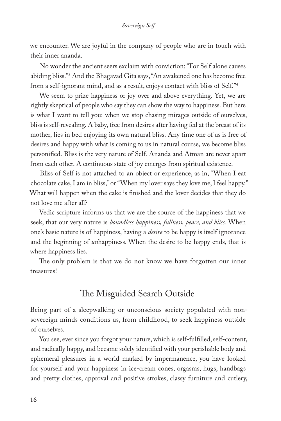we encounter. We are joyful in the company of people who are in touch with their inner ananda.

No wonder the ancient seers exclaim with conviction: "For Self alone causes abiding bliss."3 And the Bhagavad Gita says, "An awakened one has become free from a self-ignorant mind, and as a result, enjoys contact with bliss of Self."4

We seem to prize happiness or joy over and above everything. Yet, we are rightly skeptical of people who say they can show the way to happiness. But here is what I want to tell you: when we stop chasing mirages outside of ourselves, bliss is self-revealing. A baby, free from desires after having fed at the breast of its mother, lies in bed enjoying its own natural bliss. Any time one of us is free of desires and happy with what is coming to us in natural course, we become bliss personifed. Bliss is the very nature of Self. Ananda and Atman are never apart from each other. A continuous state of joy emerges from spiritual existence.

Bliss of Self is not attached to an object or experience, as in, "When I eat chocolate cake, I am in bliss," or "When my lover says they love me, I feel happy." What will happen when the cake is fnished and the lover decides that they do not love me after all?

Vedic scripture informs us that we are the source of the happiness that we seek, that our very nature is *boundless happiness, fullness, peace, and bliss.* When one's basic nature is of happiness, having a *desire* to be happy is itself ignorance and the beginning of *un*happiness. When the desire to be happy ends, that is where happiness lies.

The only problem is that we do not know we have forgotten our inner treasures!

## The Misguided Search Outside

Being part of a sleepwalking or unconscious society populated with nonsovereign minds conditions us, from childhood, to seek happiness outside of ourselves.

You see, ever since you forgot your nature, which is self-fulflled, self-content, and radically happy, and became solely identifed with your perishable body and ephemeral pleasures in a world marked by impermanence, you have looked for yourself and your happiness in ice-cream cones, orgasms, hugs, handbags and pretty clothes, approval and positive strokes, classy furniture and cutlery,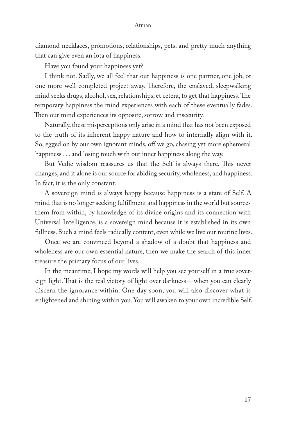#### Atman

diamond necklaces, promotions, relationships, pets, and pretty much anything that can give even an iota of happiness.

Have you found your happiness yet?

I think not. Sadly, we all feel that our happiness is one partner, one job, or one more well-completed project away. Therefore, the enslaved, sleepwalking mind seeks drugs, alcohol, sex, relationships, et cetera, to get that happiness. The temporary happiness the mind experiences with each of these eventually fades. Then our mind experiences its opposite, sorrow and insecurity.

Naturally, these misperceptions only arise in a mind that has not been exposed to the truth of its inherent happy nature and how to internally align with it. So, egged on by our own ignorant minds, off we go, chasing yet more ephemeral happiness . . . and losing touch with our inner happiness along the way.

But Vedic wisdom reassures us that the Self is always there. This never changes, and it alone is our source for abiding security, wholeness, and happiness. In fact, it is the only constant.

A sovereign mind is always happy because happiness is a state of Self. A mind that is no longer seeking fulfllment and happiness in the world but sources them from within, by knowledge of its divine origins and its connection with Universal Intelligence, is a sovereign mind because it is established in its own fullness. Such a mind feels radically content, even while we live our routine lives.

Once we are convinced beyond a shadow of a doubt that happiness and wholeness are our own essential nature, then we make the search of this inner treasure the primary focus of our lives.

In the meantime, I hope my words will help you see yourself in a true sovereign light. That is the real victory of light over darkness—when you can clearly discern the ignorance within. One day soon, you will also discover what is enlightened and shining within you. You will awaken to your own incredible Self.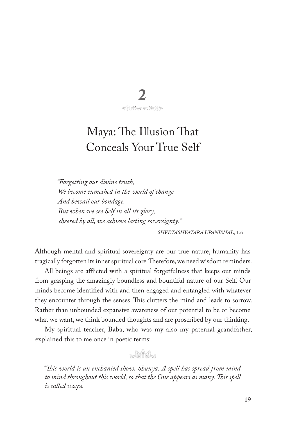

## Maya: The Illusion That Conceals Your True Self

"Forgetting our divine truth, We become enmeshed in the world of change And bewail our bondage. But when we see Self in all its glory, cheered by all, we achieve lasting sovereignty."

SHVETASHVATARA UPANISHAD, 1.6

Although mental and spiritual sovereignty are our true nature, humanity has tragically forgotten its inner spiritual core. Therefore, we need wisdom reminders.

All beings are afflicted with a spiritual forgetfulness that keeps our minds from grasping the amazingly boundless and bountiful nature of our Self. Our minds become identified with and then engaged and entangled with whatever they encounter through the senses. This clutters the mind and leads to sorrow. Rather than unbounded expansive awareness of our potential to be or become what we want, we think bounded thoughts and are proscribed by our thinking.

My spiritual teacher, Baba, who was my also my paternal grandfather, explained this to me once in poetic terms:

 $N_{\text{min}}$ 

"This world is an enchanted show, Shunya. A spell has spread from mind to mind throughout this world, so that the One appears as many. This spell is called maya.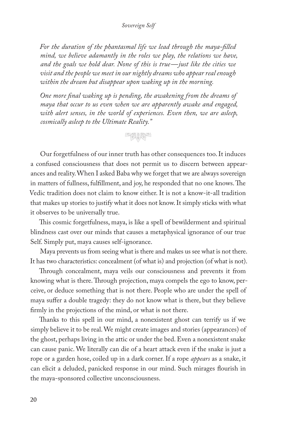For the duration of the phantasmal life we lead through the maya-filled mind, we believe adamantly in the roles we play, the relations we have, and the goals we hold dear. None of this is true-just like the cities we visit and the people we meet in our nightly dreams who appear real enough within the dream but disappear upon waking up in the morning.

One more final waking up is pending, the awakening from the dreams of maya that occur to us even when we are apparently awake and engaged, with alert senses, in the world of experiences. Even then, we are asleep, cosmically asleep to the Ultimate Reality."

## 中央大学

Our forgetfulness of our inner truth has other consequences too. It induces a confused consciousness that does not permit us to discern between appearances and reality. When I asked Baba why we forget that we are always sovereign in matters of fullness, fulfillment, and joy, he responded that no one knows. The Vedic tradition does not claim to know either. It is not a know-it-all tradition that makes up stories to justify what it does not know. It simply sticks with what it observes to be universally true.

This cosmic forgetfulness, maya, is like a spell of bewilderment and spiritual blindness cast over our minds that causes a metaphysical ignorance of our true Self. Simply put, maya causes self-ignorance.

Maya prevents us from seeing what is there and makes us see what is not there. It has two characteristics: concealment (of what is) and projection (of what is not).

Through concealment, maya veils our consciousness and prevents it from knowing what is there. Through projection, maya compels the ego to know, perceive, or deduce something that is not there. People who are under the spell of maya suffer a double tragedy: they do not know what is there, but they believe firmly in the projections of the mind, or what is not there.

Thanks to this spell in our mind, a nonexistent ghost can terrify us if we simply believe it to be real. We might create images and stories (appearances) of the ghost, perhaps living in the attic or under the bed. Even a nonexistent snake can cause panic. We literally can die of a heart attack even if the snake is just a rope or a garden hose, coiled up in a dark corner. If a rope *appears* as a snake, it can elicit a deluded, panicked response in our mind. Such mirages flourish in the maya-sponsored collective unconsciousness.